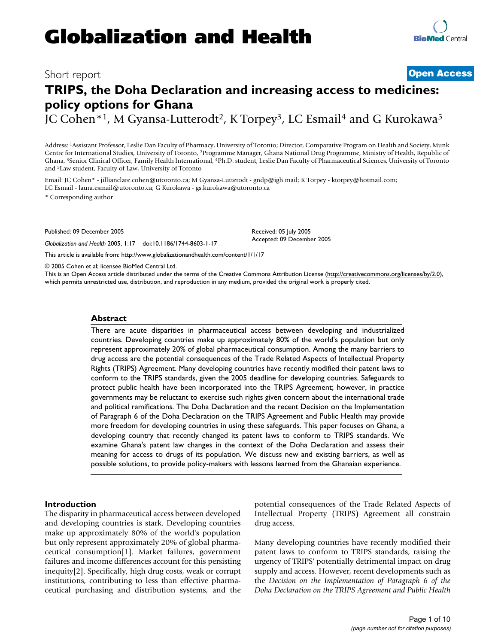**[BioMed](http://www.biomedcentral.com/)** Central

# **TRIPS, the Doha Declaration and increasing access to medicines: policy options for Ghana**

JC Cohen\*1, M Gyansa-Lutterodt<sup>2</sup>, K Torpey<sup>3</sup>, LC Esmail<sup>4</sup> and G Kurokawa<sup>5</sup>

Address: 1Assistant Professor, Leslie Dan Faculty of Pharmacy, University of Toronto; Director, Comparative Program on Health and Society, Munk Centre for International Studies, University of Toronto, 2Programme Manager, Ghana National Drug Programme, Ministry of Health, Republic of Ghana, 3Senior Clinical Officer, Family Health International, 4Ph.D. student, Leslie Dan Faculty of Pharmaceutical Sciences, University of Toronto and 5Law student, Faculty of Law, University of Toronto

Email: JC Cohen\* - jillianclare.cohen@utoronto.ca; M Gyansa-Lutterodt - gndp@igh.mail; K Torpey - ktorpey@hotmail.com; LC Esmail - laura.esmail@utoronto.ca; G Kurokawa - gs.kurokawa@utoronto.ca

\* Corresponding author

Published: 09 December 2005

*Globalization and Health* 2005, **1**:17 doi:10.1186/1744-8603-1-17

[This article is available from: http://www.globalizationandhealth.com/content/1/1/17](http://www.globalizationandhealth.com/content/1/1/17)

© 2005 Cohen et al; licensee BioMed Central Ltd.

This is an Open Access article distributed under the terms of the Creative Commons Attribution License [\(http://creativecommons.org/licenses/by/2.0\)](http://creativecommons.org/licenses/by/2.0), which permits unrestricted use, distribution, and reproduction in any medium, provided the original work is properly cited.

Received: 05 July 2005 Accepted: 09 December 2005

#### **Abstract**

There are acute disparities in pharmaceutical access between developing and industrialized countries. Developing countries make up approximately 80% of the world's population but only represent approximately 20% of global pharmaceutical consumption. Among the many barriers to drug access are the potential consequences of the Trade Related Aspects of Intellectual Property Rights (TRIPS) Agreement. Many developing countries have recently modified their patent laws to conform to the TRIPS standards, given the 2005 deadline for developing countries. Safeguards to protect public health have been incorporated into the TRIPS Agreement; however, in practice governments may be reluctant to exercise such rights given concern about the international trade and political ramifications. The Doha Declaration and the recent Decision on the Implementation of Paragraph 6 of the Doha Declaration on the TRIPS Agreement and Public Health may provide more freedom for developing countries in using these safeguards. This paper focuses on Ghana, a developing country that recently changed its patent laws to conform to TRIPS standards. We examine Ghana's patent law changes in the context of the Doha Declaration and assess their meaning for access to drugs of its population. We discuss new and existing barriers, as well as possible solutions, to provide policy-makers with lessons learned from the Ghanaian experience.

#### **Introduction**

The disparity in pharmaceutical access between developed and developing countries is stark. Developing countries make up approximately 80% of the world's population but only represent approximately 20% of global pharmaceutical consumption[1]. Market failures, government failures and income differences account for this persisting inequity[2]. Specifically, high drug costs, weak or corrupt institutions, contributing to less than effective pharmaceutical purchasing and distribution systems, and the potential consequences of the Trade Related Aspects of Intellectual Property (TRIPS) Agreement all constrain drug access.

Many developing countries have recently modified their patent laws to conform to TRIPS standards, raising the urgency of TRIPS' potentially detrimental impact on drug supply and access. However, recent developments such as the *Decision on the Implementation of Paragraph 6 of the Doha Declaration on the TRIPS Agreement and Public Health*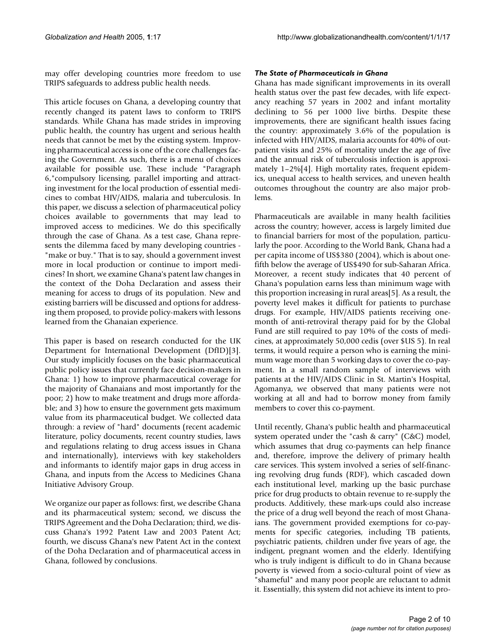may offer developing countries more freedom to use TRIPS safeguards to address public health needs.

This article focuses on Ghana, a developing country that recently changed its patent laws to conform to TRIPS standards. While Ghana has made strides in improving public health, the country has urgent and serious health needs that cannot be met by the existing system. Improving pharmaceutical access is one of the core challenges facing the Government. As such, there is a menu of choices available for possible use. These include "Paragraph 6,"compulsory licensing, parallel importing and attracting investment for the local production of essential medicines to combat HIV/AIDS, malaria and tuberculosis. In this paper, we discuss a selection of pharmaceutical policy choices available to governments that may lead to improved access to medicines. We do this specifically through the case of Ghana. As a test case, Ghana represents the dilemma faced by many developing countries - "make or buy." That is to say, should a government invest more in local production or continue to import medicines? In short, we examine Ghana's patent law changes in the context of the Doha Declaration and assess their meaning for access to drugs of its population. New and existing barriers will be discussed and options for addressing them proposed, to provide policy-makers with lessons learned from the Ghanaian experience.

This paper is based on research conducted for the UK Department for International Development (DfID)[3]. Our study implicitly focuses on the basic pharmaceutical public policy issues that currently face decision-makers in Ghana: 1) how to improve pharmaceutical coverage for the majority of Ghanaians and most importantly for the poor; 2) how to make treatment and drugs more affordable; and 3) how to ensure the government gets maximum value from its pharmaceutical budget. We collected data through: a review of "hard" documents (recent academic literature, policy documents, recent country studies, laws and regulations relating to drug access issues in Ghana and internationally), interviews with key stakeholders and informants to identify major gaps in drug access in Ghana, and inputs from the Access to Medicines Ghana Initiative Advisory Group.

We organize our paper as follows: first, we describe Ghana and its pharmaceutical system; second, we discuss the TRIPS Agreement and the Doha Declaration; third, we discuss Ghana's 1992 Patent Law and 2003 Patent Act; fourth, we discuss Ghana's new Patent Act in the context of the Doha Declaration and of pharmaceutical access in Ghana, followed by conclusions.

#### *The State of Pharmaceuticals in Ghana*

Ghana has made significant improvements in its overall health status over the past few decades, with life expectancy reaching 57 years in 2002 and infant mortality declining to 56 per 1000 live births. Despite these improvements, there are significant health issues facing the country: approximately 3.6% of the population is infected with HIV/AIDS, malaria accounts for 40% of outpatient visits and 25% of mortality under the age of five and the annual risk of tuberculosis infection is approximately 1–2%[4]. High mortality rates, frequent epidemics, unequal access to health services, and uneven health outcomes throughout the country are also major problems.

Pharmaceuticals are available in many health facilities across the country; however, access is largely limited due to financial barriers for most of the population, particularly the poor. According to the World Bank, Ghana had a per capita income of US\$380 (2004), which is about onefifth below the average of US\$490 for sub-Saharan Africa. Moreover, a recent study indicates that 40 percent of Ghana's population earns less than minimum wage with this proportion increasing in rural areas[5]. As a result, the poverty level makes it difficult for patients to purchase drugs. For example, HIV/AIDS patients receiving onemonth of anti-retroviral therapy paid for by the Global Fund are still required to pay 10% of the costs of medicines, at approximately 50,000 cedis (over \$US 5). In real terms, it would require a person who is earning the minimum wage more than 5 working days to cover the co-payment. In a small random sample of interviews with patients at the HIV/AIDS Clinic in St. Martin's Hospital, Agomanya, we observed that many patients were not working at all and had to borrow money from family members to cover this co-payment.

Until recently, Ghana's public health and pharmaceutical system operated under the "cash & carry" (C&C) model, which assumes that drug co-payments can help finance and, therefore, improve the delivery of primary health care services. This system involved a series of self-financing revolving drug funds (RDF), which cascaded down each institutional level, marking up the basic purchase price for drug products to obtain revenue to re-supply the products. Additively, these mark-ups could also increase the price of a drug well beyond the reach of most Ghanaians. The government provided exemptions for co-payments for specific categories, including TB patients, psychiatric patients, children under five years of age, the indigent, pregnant women and the elderly. Identifying who is truly indigent is difficult to do in Ghana because poverty is viewed from a socio-cultural point of view as "shameful" and many poor people are reluctant to admit it. Essentially, this system did not achieve its intent to pro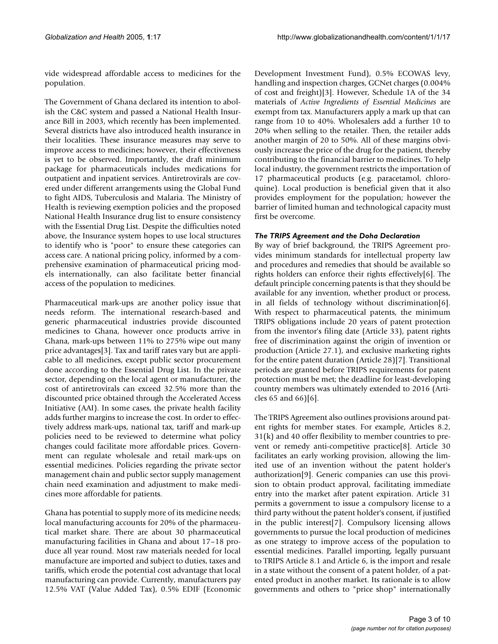vide widespread affordable access to medicines for the population.

The Government of Ghana declared its intention to abolish the C&C system and passed a National Health Insurance Bill in 2003, which recently has been implemented. Several districts have also introduced health insurance in their localities. These insurance measures may serve to improve access to medicines; however, their effectiveness is yet to be observed. Importantly, the draft minimum package for pharmaceuticals includes medications for outpatient and inpatient services. Antiretrovirals are covered under different arrangements using the Global Fund to fight AIDS, Tuberculosis and Malaria. The Ministry of Health is reviewing exemption policies and the proposed National Health Insurance drug list to ensure consistency with the Essential Drug List. Despite the difficulties noted above, the Insurance system hopes to use local structures to identify who is "poor" to ensure these categories can access care. A national pricing policy, informed by a comprehensive examination of pharmaceutical pricing models internationally, can also facilitate better financial access of the population to medicines.

Pharmaceutical mark-ups are another policy issue that needs reform. The international research-based and generic pharmaceutical industries provide discounted medicines to Ghana, however once products arrive in Ghana, mark-ups between 11% to 275% wipe out many price advantages[3]. Tax and tariff rates vary but are applicable to all medicines, except public sector procurement done according to the Essential Drug List. In the private sector, depending on the local agent or manufacturer, the cost of antiretrovirals can exceed 32.5% more than the discounted price obtained through the Accelerated Access Initiative (AAI). In some cases, the private health facility adds further margins to increase the cost. In order to effectively address mark-ups, national tax, tariff and mark-up policies need to be reviewed to determine what policy changes could facilitate more affordable prices. Government can regulate wholesale and retail mark-ups on essential medicines. Policies regarding the private sector management chain and public sector supply management chain need examination and adjustment to make medicines more affordable for patients.

Ghana has potential to supply more of its medicine needs; local manufacturing accounts for 20% of the pharmaceutical market share. There are about 30 pharmaceutical manufacturing facilities in Ghana and about 17–18 produce all year round. Most raw materials needed for local manufacture are imported and subject to duties, taxes and tariffs, which erode the potential cost advantage that local manufacturing can provide. Currently, manufacturers pay 12.5% VAT (Value Added Tax), 0.5% EDIF (Economic Development Investment Fund), 0.5% ECOWAS levy, handling and inspection charges, GCNet charges (0.004% of cost and freight)[3]. However, Schedule 1A of the 34 materials of *Active Ingredients of Essential Medicines* are exempt from tax. Manufacturers apply a mark up that can range from 10 to 40%. Wholesalers add a further 10 to 20% when selling to the retailer. Then, the retailer adds another margin of 20 to 50%. All of these margins obviously increase the price of the drug for the patient, thereby contributing to the financial barrier to medicines. To help local industry, the government restricts the importation of 17 pharmaceutical products (e.g. paracetamol, chloroquine). Local production is beneficial given that it also provides employment for the population; however the barrier of limited human and technological capacity must first be overcome.

# *The TRIPS Agreement and the Doha Declaration*

By way of brief background, the TRIPS Agreement provides minimum standards for intellectual property law and procedures and remedies that should be available so rights holders can enforce their rights effectively[6]. The default principle concerning patents is that they should be available for any invention, whether product or process, in all fields of technology without discrimination[6]. With respect to pharmaceutical patents, the minimum TRIPS obligations include 20 years of patent protection from the inventor's filing date (Article 33), patent rights free of discrimination against the origin of invention or production (Article 27.1), and exclusive marketing rights for the entire patent duration (Article 28)[7]. Transitional periods are granted before TRIPS requirements for patent protection must be met; the deadline for least-developing country members was ultimately extended to 2016 (Articles 65 and 66)[6].

The TRIPS Agreement also outlines provisions around patent rights for member states. For example, Articles 8.2, 31(k) and 40 offer flexibility to member countries to prevent or remedy anti-competitive practice[8]. Article 30 facilitates an early working provision, allowing the limited use of an invention without the patent holder's authorization[9]. Generic companies can use this provision to obtain product approval, facilitating immediate entry into the market after patent expiration. Article 31 permits a government to issue a compulsory license to a third party without the patent holder's consent, if justified in the public interest[7]. Compulsory licensing allows governments to pursue the local production of medicines as one strategy to improve access of the population to essential medicines. Parallel importing, legally pursuant to TRIPS Article 8.1 and Article 6, is the import and resale in a state without the consent of a patent holder, of a patented product in another market. Its rationale is to allow governments and others to "price shop" internationally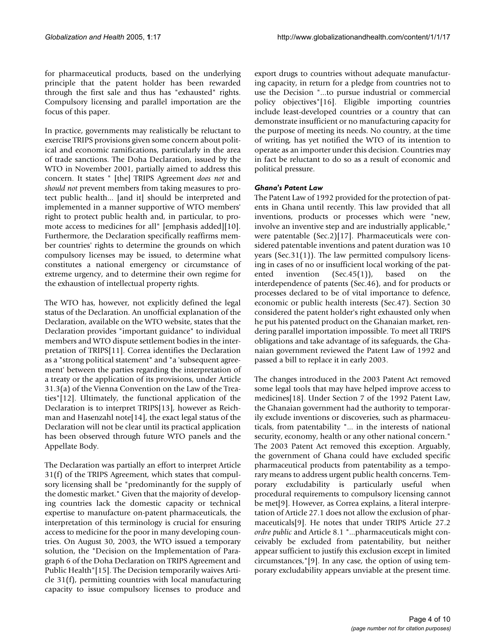for pharmaceutical products, based on the underlying principle that the patent holder has been rewarded through the first sale and thus has "exhausted" rights. Compulsory licensing and parallel importation are the focus of this paper.

In practice, governments may realistically be reluctant to exercise TRIPS provisions given some concern about political and economic ramifications, particularly in the area of trade sanctions. The Doha Declaration, issued by the WTO in November 2001, partially aimed to address this concern. It states " [the] TRIPS Agreement *does not* and *should not* prevent members from taking measures to protect public health... [and it] should be interpreted and implemented in a manner supportive of WTO members' right to protect public health and, in particular, to promote access to medicines for all" [emphasis added][10]. Furthermore, the Declaration specifically reaffirms member countries' rights to determine the grounds on which compulsory licenses may be issued, to determine what constitutes a national emergency or circumstance of extreme urgency, and to determine their own regime for the exhaustion of intellectual property rights.

The WTO has, however, not explicitly defined the legal status of the Declaration. An unofficial explanation of the Declaration, available on the WTO website, states that the Declaration provides "important guidance" to individual members and WTO dispute settlement bodies in the interpretation of TRIPS[11]. Correa identifies the Declaration as a "strong political statement" and "a 'subsequent agreement' between the parties regarding the interpretation of a treaty or the application of its provisions, under Article 31.3(a) of the Vienna Convention on the Law of the Treaties"[12]. Ultimately, the functional application of the Declaration is to interpret TRIPS[13], however as Reichman and Hasenzahl note[14], the exact legal status of the Declaration will not be clear until its practical application has been observed through future WTO panels and the Appellate Body.

The Declaration was partially an effort to interpret Article 31(f) of the TRIPS Agreement, which states that compulsory licensing shall be "predominantly for the supply of the domestic market." Given that the majority of developing countries lack the domestic capacity or technical expertise to manufacture on-patent pharmaceuticals, the interpretation of this terminology is crucial for ensuring access to medicine for the poor in many developing countries. On August 30, 2003, the WTO issued a temporary solution, the "Decision on the Implementation of Paragraph 6 of the Doha Declaration on TRIPS Agreement and Public Health"[15]. The Decision temporarily waives Article 31(f), permitting countries with local manufacturing capacity to issue compulsory licenses to produce and

export drugs to countries without adequate manufacturing capacity, in return for a pledge from countries not to use the Decision "...to pursue industrial or commercial policy objectives"[16]. Eligible importing countries include least-developed countries or a country that can demonstrate insufficient or no manufacturing capacity for the purpose of meeting its needs. No country, at the time of writing, has yet notified the WTO of its intention to operate as an importer under this decision. Countries may in fact be reluctant to do so as a result of economic and political pressure.

# *Ghana's Patent Law*

The Patent Law of 1992 provided for the protection of patents in Ghana until recently. This law provided that all inventions, products or processes which were "new, involve an inventive step and are industrially applicable," were patentable (Sec.2)[17]. Pharmaceuticals were considered patentable inventions and patent duration was 10 years (Sec.31(1)). The law permitted compulsory licensing in cases of no or insufficient local working of the patented invention (Sec.45(1)), based on the interdependence of patents (Sec.46), and for products or processes declared to be of vital importance to defence, economic or public health interests (Sec.47). Section 30 considered the patent holder's right exhausted only when he put his patented product on the Ghanaian market, rendering parallel importation impossible. To meet all TRIPS obligations and take advantage of its safeguards, the Ghanaian government reviewed the Patent Law of 1992 and passed a bill to replace it in early 2003.

The changes introduced in the 2003 Patent Act removed some legal tools that may have helped improve access to medicines[18]. Under Section 7 of the 1992 Patent Law, the Ghanaian government had the authority to temporarily exclude inventions or discoveries, such as pharmaceuticals, from patentability "... in the interests of national security, economy, health or any other national concern." The 2003 Patent Act removed this exception. Arguably, the government of Ghana could have excluded specific pharmaceutical products from patentability as a temporary means to address urgent public health concerns. Temporary excludability is particularly useful when procedural requirements to compulsory licensing cannot be met[9]. However, as Correa explains, a literal interpretation of Article 27.1 does not allow the exclusion of pharmaceuticals[9]. He notes that under TRIPS Article 27.2 *ordre public* and Article 8.1 "...pharmaceuticals might conceivably be excluded from patentability, but neither appear sufficient to justify this exclusion except in limited circumstances,"[9]. In any case, the option of using temporary excludability appears unviable at the present time.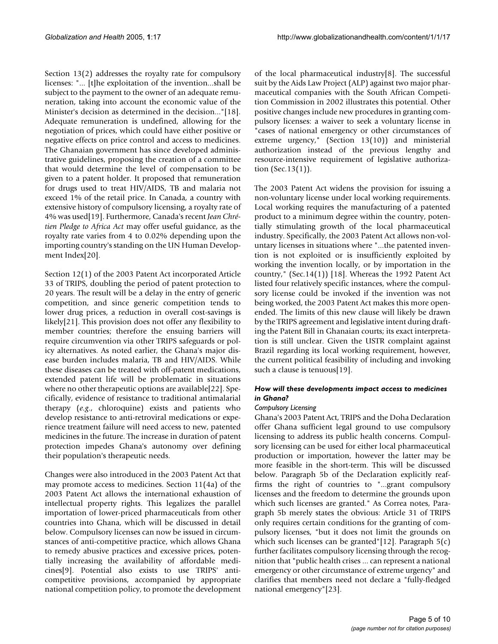Section 13(2) addresses the royalty rate for compulsory licenses: "... [t]he exploitation of the invention...shall be subject to the payment to the owner of an adequate remuneration, taking into account the economic value of the Minister's decision as determined in the decision..."[18]. Adequate remuneration is undefined, allowing for the negotiation of prices, which could have either positive or negative effects on price control and access to medicines. The Ghanaian government has since developed administrative guidelines, proposing the creation of a committee that would determine the level of compensation to be given to a patent holder. It proposed that remuneration for drugs used to treat HIV/AIDS, TB and malaria not exceed 1% of the retail price. In Canada, a country with extensive history of compulsory licensing, a royalty rate of 4% was used[19]. Furthermore, Canada's recent *Jean Chrétien Pledge to Africa Act* may offer useful guidance, as the royalty rate varies from 4 to 0.02% depending upon the importing country's standing on the UN Human Development Index[20].

Section 12(1) of the 2003 Patent Act incorporated Article 33 of TRIPS, doubling the period of patent protection to 20 years. The result will be a delay in the entry of generic competition, and since generic competition tends to lower drug prices, a reduction in overall cost-savings is likely[21]. This provision does not offer any flexibility to member countries; therefore the ensuing barriers will require circumvention via other TRIPS safeguards or policy alternatives. As noted earlier, the Ghana's major disease burden includes malaria, TB and HIV/AIDS. While these diseases can be treated with off-patent medications, extended patent life will be problematic in situations where no other therapeutic options are available[22]. Specifically, evidence of resistance to traditional antimalarial therapy (*e.g*., chloroquine) exists and patients who develop resistance to anti-retroviral medications or experience treatment failure will need access to new, patented medicines in the future. The increase in duration of patent protection impedes Ghana's autonomy over defining their population's therapeutic needs.

Changes were also introduced in the 2003 Patent Act that may promote access to medicines. Section 11(4a) of the 2003 Patent Act allows the international exhaustion of intellectual property rights. This legalizes the parallel importation of lower-priced pharmaceuticals from other countries into Ghana, which will be discussed in detail below. Compulsory licenses can now be issued in circumstances of anti-competitive practice, which allows Ghana to remedy abusive practices and excessive prices, potentially increasing the availability of affordable medicines[9]. Potential also exists to use TRIPS' anticompetitive provisions, accompanied by appropriate national competition policy, to promote the development of the local pharmaceutical industry[8]. The successful suit by the Aids Law Project (ALP) against two major pharmaceutical companies with the South African Competition Commission in 2002 illustrates this potential. Other positive changes include new procedures in granting compulsory licenses: a waiver to seek a voluntary license in "cases of national emergency or other circumstances of extreme urgency," (Section 13(10)) and ministerial authorization instead of the previous lengthy and resource-intensive requirement of legislative authorization (Sec.13(1)).

The 2003 Patent Act widens the provision for issuing a non-voluntary license under local working requirements. Local working requires the manufacturing of a patented product to a minimum degree within the country, potentially stimulating growth of the local pharmaceutical industry. Specifically, the 2003 Patent Act allows non-voluntary licenses in situations where "...the patented invention is not exploited or is insufficiently exploited by working the invention locally, or by importation in the country,"  $(Sec.14(1))$  [18]. Whereas the 1992 Patent Act listed four relatively specific instances, where the compulsory license could be invoked if the invention was not being worked, the 2003 Patent Act makes this more openended. The limits of this new clause will likely be drawn by the TRIPS agreement and legislative intent during drafting the Patent Bill in Ghanaian courts; its exact interpretation is still unclear. Given the USTR complaint against Brazil regarding its local working requirement, however, the current political feasibility of including and invoking such a clause is tenuous[19].

# *How will these developments impact access to medicines in Ghana?*

# *Compulsory Licensing*

Ghana's 2003 Patent Act, TRIPS and the Doha Declaration offer Ghana sufficient legal ground to use compulsory licensing to address its public health concerns. Compulsory licensing can be used for either local pharmaceutical production or importation, however the latter may be more feasible in the short-term. This will be discussed below. Paragraph 5b of the Declaration explicitly reaffirms the right of countries to "...grant compulsory licenses and the freedom to determine the grounds upon which such licenses are granted." As Correa notes, Paragraph 5b merely states the obvious: Article 31 of TRIPS only requires certain conditions for the granting of compulsory licenses, "but it does not limit the grounds on which such licenses can be granted"[12]. Paragraph 5(c) further facilitates compulsory licensing through the recognition that "public health crises ... can represent a national emergency or other circumstance of extreme urgency" and clarifies that members need not declare a "fully-fledged national emergency"[23].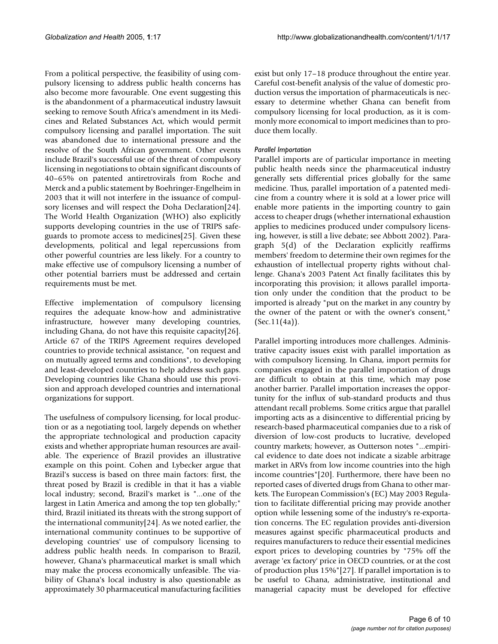From a political perspective, the feasibility of using compulsory licensing to address public health concerns has also become more favourable. One event suggesting this is the abandonment of a pharmaceutical industry lawsuit seeking to remove South Africa's amendment in its Medicines and Related Substances Act, which would permit compulsory licensing and parallel importation. The suit was abandoned due to international pressure and the resolve of the South African government. Other events include Brazil's successful use of the threat of compulsory licensing in negotiations to obtain significant discounts of 40–65% on patented antiretrovirals from Roche and Merck and a public statement by Boehringer-Engelheim in 2003 that it will not interfere in the issuance of compulsory licenses and will respect the Doha Declaration[24]. The World Health Organization (WHO) also explicitly supports developing countries in the use of TRIPS safeguards to promote access to medicines[25]. Given these developments, political and legal repercussions from other powerful countries are less likely. For a country to make effective use of compulsory licensing a number of other potential barriers must be addressed and certain requirements must be met.

Effective implementation of compulsory licensing requires the adequate know-how and administrative infrastructure, however many developing countries, including Ghana, do not have this requisite capacity[26]. Article 67 of the TRIPS Agreement requires developed countries to provide technical assistance, "on request and on mutually agreed terms and conditions", to developing and least-developed countries to help address such gaps. Developing countries like Ghana should use this provision and approach developed countries and international organizations for support.

The usefulness of compulsory licensing, for local production or as a negotiating tool, largely depends on whether the appropriate technological and production capacity exists and whether appropriate human resources are available. The experience of Brazil provides an illustrative example on this point. Cohen and Lybecker argue that Brazil's success is based on three main factors: first, the threat posed by Brazil is credible in that it has a viable local industry; second, Brazil's market is "...one of the largest in Latin America and among the top ten globally;" third, Brazil initiated its threats with the strong support of the international community[24]. As we noted earlier, the international community continues to be supportive of developing countries' use of compulsory licensing to address public health needs. In comparison to Brazil, however, Ghana's pharmaceutical market is small which may make the process economically unfeasible. The viability of Ghana's local industry is also questionable as approximately 30 pharmaceutical manufacturing facilities

exist but only 17–18 produce throughout the entire year. Careful cost-benefit analysis of the value of domestic production versus the importation of pharmaceuticals is necessary to determine whether Ghana can benefit from compulsory licensing for local production, as it is commonly more economical to import medicines than to produce them locally.

# *Parallel Importation*

Parallel imports are of particular importance in meeting public health needs since the pharmaceutical industry generally sets differential prices globally for the same medicine. Thus, parallel importation of a patented medicine from a country where it is sold at a lower price will enable more patients in the importing country to gain access to cheaper drugs (whether international exhaustion applies to medicines produced under compulsory licensing, however, is still a live debate; see Abbott 2002). Paragraph 5(d) of the Declaration explicitly reaffirms members' freedom to determine their own regimes for the exhaustion of intellectual property rights without challenge. Ghana's 2003 Patent Act finally facilitates this by incorporating this provision; it allows parallel importation only under the condition that the product to be imported is already "put on the market in any country by the owner of the patent or with the owner's consent," (Sec.11(4a)).

Parallel importing introduces more challenges. Administrative capacity issues exist with parallel importation as with compulsory licensing. In Ghana, import permits for companies engaged in the parallel importation of drugs are difficult to obtain at this time, which may pose another barrier. Parallel importation increases the opportunity for the influx of sub-standard products and thus attendant recall problems. Some critics argue that parallel importing acts as a disincentive to differential pricing by research-based pharmaceutical companies due to a risk of diversion of low-cost products to lucrative, developed country markets; however, as Outterson notes "...empirical evidence to date does not indicate a sizable arbitrage market in ARVs from low income countries into the high income countries"[20]. Furthermore, there have been no reported cases of diverted drugs from Ghana to other markets. The European Commission's (EC) May 2003 Regulation to facilitate differential pricing may provide another option while lessening some of the industry's re-exportation concerns. The EC regulation provides anti-diversion measures against specific pharmaceutical products and requires manufacturers to reduce their essential medicines export prices to developing countries by "75% off the average 'ex factory' price in OECD countries, or at the cost of production plus 15%"[27]. If parallel importation is to be useful to Ghana, administrative, institutional and managerial capacity must be developed for effective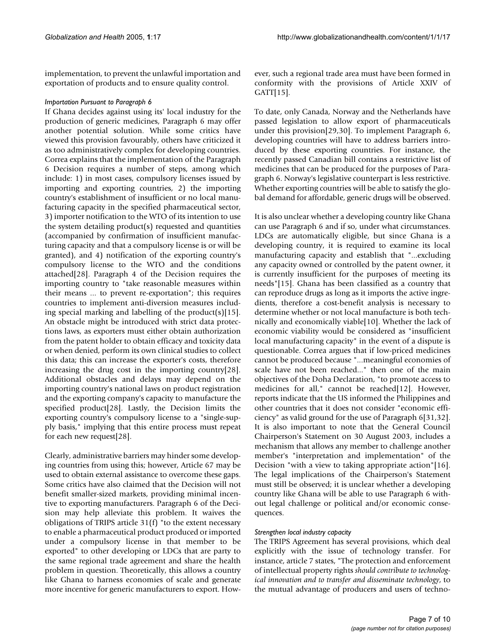implementation, to prevent the unlawful importation and exportation of products and to ensure quality control.

#### *Importation Pursuant to Paragraph 6*

If Ghana decides against using its' local industry for the production of generic medicines, Paragraph 6 may offer another potential solution. While some critics have viewed this provision favourably, others have criticized it as too administratively complex for developing countries. Correa explains that the implementation of the Paragraph 6 Decision requires a number of steps, among which include: 1) in most cases, compulsory licenses issued by importing and exporting countries, 2) the importing country's establishment of insufficient or no local manufacturing capacity in the specified pharmaceutical sector, 3) importer notification to the WTO of its intention to use the system detailing product(s) requested and quantities (accompanied by confirmation of insufficient manufacturing capacity and that a compulsory license is or will be granted), and 4) notification of the exporting country's compulsory license to the WTO and the conditions attached[28]. Paragraph 4 of the Decision requires the importing country to "take reasonable measures within their means ... to prevent re-exportation"; this requires countries to implement anti-diversion measures including special marking and labelling of the product(s)[15]. An obstacle might be introduced with strict data protections laws, as exporters must either obtain authorization from the patent holder to obtain efficacy and toxicity data or when denied, perform its own clinical studies to collect this data; this can increase the exporter's costs, therefore increasing the drug cost in the importing country[28]. Additional obstacles and delays may depend on the importing country's national laws on product registration and the exporting company's capacity to manufacture the specified product[28]. Lastly, the Decision limits the exporting country's compulsory license to a "single-supply basis," implying that this entire process must repeat for each new request[28].

Clearly, administrative barriers may hinder some developing countries from using this; however, Article 67 may be used to obtain external assistance to overcome these gaps. Some critics have also claimed that the Decision will not benefit smaller-sized markets, providing minimal incentive to exporting manufacturers. Paragraph 6 of the Decision may help alleviate this problem. It waives the obligations of TRIPS article 31(f) "to the extent necessary to enable a pharmaceutical product produced or imported under a compulsory license in that member to be exported" to other developing or LDCs that are party to the same regional trade agreement and share the health problem in question. Theoretically, this allows a country like Ghana to harness economies of scale and generate more incentive for generic manufacturers to export. However, such a regional trade area must have been formed in conformity with the provisions of Article XXIV of GATT[15].

To date, only Canada, Norway and the Netherlands have passed legislation to allow export of pharmaceuticals under this provision[29,30]. To implement Paragraph 6, developing countries will have to address barriers introduced by these exporting countries. For instance, the recently passed Canadian bill contains a restrictive list of medicines that can be produced for the purposes of Paragraph 6. Norway's legislative counterpart is less restrictive. Whether exporting countries will be able to satisfy the global demand for affordable, generic drugs will be observed.

It is also unclear whether a developing country like Ghana can use Paragraph 6 and if so, under what circumstances. LDCs are automatically eligible, but since Ghana is a developing country, it is required to examine its local manufacturing capacity and establish that "...excluding any capacity owned or controlled by the patent owner, it is currently insufficient for the purposes of meeting its needs"[15]. Ghana has been classified as a country that can reproduce drugs as long as it imports the active ingredients, therefore a cost-benefit analysis is necessary to determine whether or not local manufacture is both technically and economically viable[10]. Whether the lack of economic viability would be considered as "insufficient local manufacturing capacity" in the event of a dispute is questionable. Correa argues that if low-priced medicines cannot be produced because "...meaningful economies of scale have not been reached..." then one of the main objectives of the Doha Declaration, "to promote access to medicines for all," cannot be reached[12]. However, reports indicate that the US informed the Philippines and other countries that it does not consider "economic efficiency" as valid ground for the use of Paragraph 6[31,32]. It is also important to note that the General Council Chairperson's Statement on 30 August 2003, includes a mechanism that allows any member to challenge another member's "interpretation and implementation" of the Decision "with a view to taking appropriate action"[16]. The legal implications of the Chairperson's Statement must still be observed; it is unclear whether a developing country like Ghana will be able to use Paragraph 6 without legal challenge or political and/or economic consequences.

#### *Strengthen local industry capacity*

The TRIPS Agreement has several provisions, which deal explicitly with the issue of technology transfer. For instance, article 7 states, "The protection and enforcement of intellectual property rights *should contribute to technological innovation and to transfer and disseminate technology*, to the mutual advantage of producers and users of techno-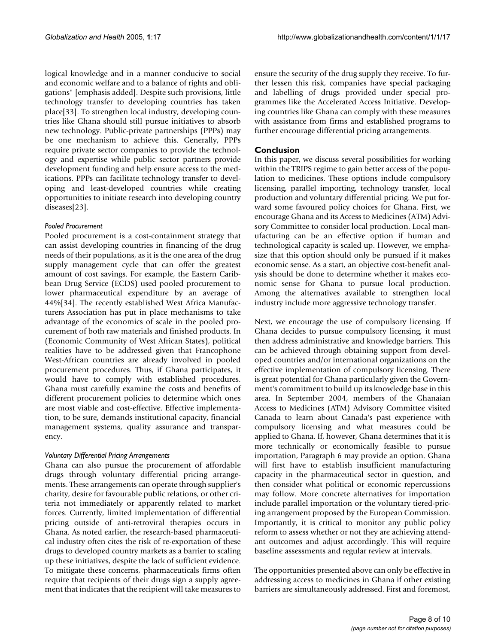logical knowledge and in a manner conducive to social and economic welfare and to a balance of rights and obligations" [emphasis added]. Despite such provisions, little technology transfer to developing countries has taken place[33]. To strengthen local industry, developing countries like Ghana should still pursue initiatives to absorb new technology. Public-private partnerships (PPPs) may be one mechanism to achieve this. Generally, PPPs require private sector companies to provide the technology and expertise while public sector partners provide development funding and help ensure access to the medications. PPPs can facilitate technology transfer to developing and least-developed countries while creating opportunities to initiate research into developing country diseases[23].

# *Pooled Procurement*

Pooled procurement is a cost-containment strategy that can assist developing countries in financing of the drug needs of their populations, as it is the one area of the drug supply management cycle that can offer the greatest amount of cost savings. For example, the Eastern Caribbean Drug Service (ECDS) used pooled procurement to lower pharmaceutical expenditure by an average of 44%[34]. The recently established West Africa Manufacturers Association has put in place mechanisms to take advantage of the economics of scale in the pooled procurement of both raw materials and finished products. In (Economic Community of West African States), political realities have to be addressed given that Francophone West-African countries are already involved in pooled procurement procedures. Thus, if Ghana participates, it would have to comply with established procedures. Ghana must carefully examine the costs and benefits of different procurement policies to determine which ones are most viable and cost-effective. Effective implementation, to be sure, demands institutional capacity, financial management systems, quality assurance and transparency.

# *Voluntary Differential Pricing Arrangements*

Ghana can also pursue the procurement of affordable drugs through voluntary differential pricing arrangements. These arrangements can operate through supplier's charity, desire for favourable public relations, or other criteria not immediately or apparently related to market forces. Currently, limited implementation of differential pricing outside of anti-retroviral therapies occurs in Ghana. As noted earlier, the research-based pharmaceutical industry often cites the risk of re-exportation of these drugs to developed country markets as a barrier to scaling up these initiatives, despite the lack of sufficient evidence. To mitigate these concerns, pharmaceuticals firms often require that recipients of their drugs sign a supply agreement that indicates that the recipient will take measures to

ensure the security of the drug supply they receive. To further lessen this risk, companies have special packaging and labelling of drugs provided under special programmes like the Accelerated Access Initiative. Developing countries like Ghana can comply with these measures with assistance from firms and established programs to further encourage differential pricing arrangements.

# **Conclusion**

In this paper, we discuss several possibilities for working within the TRIPS regime to gain better access of the population to medicines. These options include compulsory licensing, parallel importing, technology transfer, local production and voluntary differential pricing. We put forward some favoured policy choices for Ghana. First, we encourage Ghana and its Access to Medicines (ATM) Advisory Committee to consider local production. Local manufacturing can be an effective option if human and technological capacity is scaled up. However, we emphasize that this option should only be pursued if it makes economic sense. As a start, an objective cost-benefit analysis should be done to determine whether it makes economic sense for Ghana to pursue local production. Among the alternatives available to strengthen local industry include more aggressive technology transfer.

Next, we encourage the use of compulsory licensing. If Ghana decides to pursue compulsory licensing, it must then address administrative and knowledge barriers. This can be achieved through obtaining support from developed countries and/or international organizations on the effective implementation of compulsory licensing. There is great potential for Ghana particularly given the Government's commitment to build up its knowledge base in this area. In September 2004, members of the Ghanaian Access to Medicines (ATM) Advisory Committee visited Canada to learn about Canada's past experience with compulsory licensing and what measures could be applied to Ghana. If, however, Ghana determines that it is more technically or economically feasible to pursue importation, Paragraph 6 may provide an option. Ghana will first have to establish insufficient manufacturing capacity in the pharmaceutical sector in question, and then consider what political or economic repercussions may follow. More concrete alternatives for importation include parallel importation or the voluntary tiered-pricing arrangement proposed by the European Commission. Importantly, it is critical to monitor any public policy reform to assess whether or not they are achieving attendant outcomes and adjust accordingly. This will require baseline assessments and regular review at intervals.

The opportunities presented above can only be effective in addressing access to medicines in Ghana if other existing barriers are simultaneously addressed. First and foremost,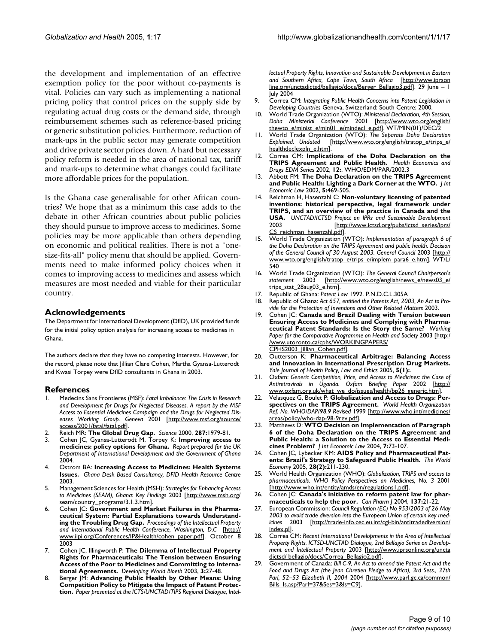the development and implementation of an effective exemption policy for the poor without co-payments is vital. Policies can vary such as implementing a national pricing policy that control prices on the supply side by regulating actual drug costs or the demand side, through reimbursement schemes such as reference-based pricing or generic substitution policies. Furthermore, reduction of mark-ups in the public sector may generate competition and drive private sector prices down. A hard but necessary policy reform is needed in the area of national tax, tariff and mark-ups to determine what changes could facilitate more affordable prices for the population.

Is the Ghana case generalisable for other African countries? We hope that as a minimum this case adds to the debate in other African countries about public policies they should pursue to improve access to medicines. Some policies may be more applicable than others depending on economic and political realities. There is not a "onesize-fits-all" policy menu that should be applied. Governments need to make informed policy choices when it comes to improving access to medicines and assess which measures are most needed and viable for their particular country.

#### **Acknowledgements**

The Department for International Development (DfID), UK provided funds for the initial policy option analysis for increasing access to medicines in Ghana.

The authors declare that they have no competing interests. However, for the record, please note that Jillian Clare Cohen, Martha Gyansa-Lutterodt and Kwasi Torpey were DfID consultants in Ghana in 2003.

#### **References**

- 1. Medecins Sans Frontieres (MSF): *Fatal Imbalance: The Crisis in Research and Development for Drugs for Neglected Diseases. A report by the MSF Access to Essential Medicines Campaign and the Drugs for Neglected Diseases Working Group. Geneva* 2001 [\[http://www.msf.org/source/](http://www.msf.org/source/access/2001/fatal/fatal.pdf) [access/2001/fatal/fatal.pdf\]](http://www.msf.org/source/access/2001/fatal/fatal.pdf).
- 2. Reich MR: **[The Global Drug Gap.](http://www.ncbi.nlm.nih.gov/entrez/query.fcgi?cmd=Retrieve&db=PubMed&dopt=Abstract&list_uids=10755953)** *Science* 2000, **287:**1979-81.
- 3. Cohen JC, Gyansa-Lutterodt M, Torpey K: **Improving access to medicines: policy options for Ghana.** *Report prepared for the UK Department of International Development and the Government of Ghana* 2004.
- 4. Ostrom BA: **Increasing Access to Medicines: Health Systems Issues.** *Ghana Desk Based Consultancy, DFID Health Resource Centre* 2003.
- 5. Management Sciences for Health (MSH): *Strategies for Enhancing Access to Medicines (SEAM), Ghana: Key Findings* 2003 [\[http://www.msh.org/](http://www.msh.org/seam/country_programs/3.1.3.htm) seam/country\_programs/3.1.3.htm].
- 6. Cohen JC: **Government and Market Failures in the Pharmaceutical System: Partial Explanations towards Understanding the Troubling Drug Gap.** *Proceedings of the Intellectual Property and International Public Health Conference, Washington, D.C* [[http://](http://www.iipi.org/Conferences/IP&Health/cohen_paper.pdf) [www.iipi.org/Conferences/IP&Health/cohen\\_paper.pdf\]](http://www.iipi.org/Conferences/IP&Health/cohen_paper.pdf). October 8 2003
- 7. Cohen JC, Illingworth P: **[The Dilemma of Intellectual Property](http://www.ncbi.nlm.nih.gov/entrez/query.fcgi?cmd=Retrieve&db=PubMed&dopt=Abstract&list_uids=14577451) [Rights for Pharmaceuticals: The Tension between Ensuring](http://www.ncbi.nlm.nih.gov/entrez/query.fcgi?cmd=Retrieve&db=PubMed&dopt=Abstract&list_uids=14577451) Access of the Poor to Medicines and Committing to Interna[tional Agreements.](http://www.ncbi.nlm.nih.gov/entrez/query.fcgi?cmd=Retrieve&db=PubMed&dopt=Abstract&list_uids=14577451)** *Developing World Bioeth* 2003, **3:**27-48.
- 8. Berger JM: **Advancing Public Health by Other Means: Using Competition Policy to Mitigate the Impact of Patent Protection.** *Paper presented at the ICTS/UNCTAD/TIPS Regional Dialogue, Intel-*

*lectual Property Rights, Innovation and Sustainable Development in Eastern* and Southern Africa, Cape Town, South Africa [line.org/unctadictsd/bellagio/docs/Berger\\_Bellagio3.pdf\]](http://www.iprsonline.org/unctadictsd/bellagio/docs/Berger_Bellagio3.pdf). 29 June – 1 July 2004

- 9. Correa CM: *Integrating Public Health Concerns into Patent Legislation in Developing Countries* Geneva, Switzerland: South Centre; 2000.
- 10. World Trade Organization (WTO): *Ministerial Declaration, 4th Session, Doha Ministerial Conference* 2001 [[http://www.wto.org/english/](http://www.wto.org/english/thewto_e/minist_e/min01_e/mindecl_e.pdf) [thewto\\_e/minist\\_e/min01\\_e/mindecl\\_e.pdf\]](http://www.wto.org/english/thewto_e/minist_e/min01_e/mindecl_e.pdf). WT/MIN(01)/DEC/2
- 11. World Trade Organization (WTO): *The Separate Doha Declaration Explained. Undated* [\[http://www.wto.org/english/tratop\\_e/trips\\_e/](http://www.wto.org/english/tratop_e/trips_e/healthdeclexpln_e.htm) [healthdeclexpln\\_e.htm\]](http://www.wto.org/english/tratop_e/trips_e/healthdeclexpln_e.htm).
- 12. Correa CM: **Implications of the Doha Declaration on the TRIPS Agreement and Public Health.** *Health Economics and Drugs EDM Series* 2002, **12:**. WHO/EDM/PAR/2002.3
- 13. Abbott FM: **The Doha Declaration on the TRIPS Agreement and Public Health: Lighting a Dark Corner at the WTO.** *J Int Economic Law* 2002, **5:**469-505.
- 14. Reichman H, Hasenzahl C: **Non-voluntary licensing of patented inventions: historical perspective, legal framework under TRIPS, and an overview of the practice in Canada and the USA.** *UNCTAD/ICTSD Project on IPRs and Sustainable Development* [[http://www.ictsd.org/pubs/ictsd\\_series/iprs/](http://www.ictsd.org/pubs/ictsd_series/iprs/CS_reichman_hasenzahl.pdf) [CS\\_reichman\\_hasenzahl.pdf\]](http://www.ictsd.org/pubs/ictsd_series/iprs/CS_reichman_hasenzahl.pdf).
- 15. World Trade Organization (WTO): *Implementation of paragraph 6 of the Doha Declaration on the TRIPS Agreement and public health. Decision of the General Council of 30 August 2003. General Council* 2003 [\[http://](http://www.wto.org/english/tratop_e/trips_e/implem_para6_e.htm) [www.wto.org/english/tratop\\_e/trips\\_e/implem\\_para6\\_e.htm](http://www.wto.org/english/tratop_e/trips_e/implem_para6_e.htm)]. WT/L/ 540
- 16. World Trade Organization (WTO): *The General Council Chairperson's statement* 2003 [\[http://www.wto.org/english/news\\_e/news03\\_e/](http://www.wto.org/english/news_e/news03_e/trips_stat_28aug03_e.htm) [trips\\_stat\\_28aug03\\_e.htm\]](http://www.wto.org/english/news_e/news03_e/trips_stat_28aug03_e.htm).
- 17. Republic of Ghana: *Patent Law* 1992. P.N.D.C.L.305A<br>18. Republic of Ghana: Act 657, entitled the Patents Act. 20
- 18. Republic of Ghana: *Act 657, entitled the Patents Act, 2003, An Act to Provide for the Protection of Inventions and Other Related Matters* 2003.
- 19. Cohen JC: **Canada and Brazil Dealing with Tension between Ensuring Access to Medicines and Complying with Pharmaceutical Patent Standards: Is the Story the Same?** *Working Paper for the Comparative Programme on Health and Society* 2003 [[http:/](http://www.utoronto.ca/cphs/WORKINGPAPERS/CPHS2003_Jillian_Cohen.pdf) [/www.utoronto.ca/cphs/WORKINGPAPERS/](http://www.utoronto.ca/cphs/WORKINGPAPERS/CPHS2003_Jillian_Cohen.pdf) [CPHS2003\\_Jillian\\_Cohen.pdf](http://www.utoronto.ca/cphs/WORKINGPAPERS/CPHS2003_Jillian_Cohen.pdf)].
- 20. Outterson K: **Pharmaceutical Arbitrage: Balancing Access and Innovation in International Prescription Drug Markets.** *Yale Journal of Health Policy, Law and Ethics* 2005, **5(1):**.
- 21. Oxfam: *Generic Competition, Price, and Access to Medicines: the Case of Antiretrovirals in Uganda. Oxfam Briefing Paper* 2002 [\[http://](http://www.oxfam.org.uk/what_we_do/issues/health/bp26_generic.htm) [www.oxfam.org.uk/what\\_we\\_do/issues/health/bp26\\_generic.htm\]](http://www.oxfam.org.uk/what_we_do/issues/health/bp26_generic.htm).
- 22. Velasquez G, Boulet P: **Globalization and Access to Drugs: Perspectives on the TRIPS Agreement.** *World Health Organization Ref. No. WHO/DAP/98.9 Revised* 1999 [[http://www.who.int/medicines/](http://www.who.int/medicines/areas/policy/who-dap-98-9rev.pdf) [areas/policy/who-dap-98-9rev.pdf](http://www.who.int/medicines/areas/policy/who-dap-98-9rev.pdf)].
- 23. Matthews D: **WTO Decision on Implementation of Paragraph 6 of the Doha Declaration on the TRIPS Agreement and Public Health: a Solution to the Access to Essential Medicines Problem?** *J Int Economic Law* 2004, **7:**73-107.
- 24. Cohen JC, Lybecker KM: **AIDS Policy and Pharmaceutical Patents: Brazil's Strategy to Safeguard Public Health.** *The World Economy* 2005, **28(2):**211-230.
- 25. World Health Organization (WHO): *Globalization, TRIPS and access to pharmaceuticals. WHO Policy Perspectives on Medicines, No. 3* 2001 [[http://www.who.int/entity/amds/en/regulations1.pdf\]](http://www.who.int/hiv/amds/en/regulations1.pdf).
- 26. Cohen JC: **Canada's initiative to reform patent law for pharmaceuticals to help the poor.** *Can Pharm J* 2004, **137:**21-22.
- 27. European Commission: *Council Regulation (EC) No 953/2003 of 26 May 2003 to avoid trade diversion into the European Union of certain key medicines* 2003 [\[http://trade-info.cec.eu.int/cgi-bin/antitradediversion/](http://trade-info.cec.eu.int/cgi-bin/antitradediversion/index.pl) [index.pl](http://trade-info.cec.eu.int/cgi-bin/antitradediversion/index.pl)].
- 28. Correa CM: *Recent International Developments in the Area of Intellectual Property Rights. ICTSD-UNCTAD Dialogue, 2nd Bellagio Series on Development and Intellectual Property* 2003 [\[http://www.iprsonline.org/uncta](http://www.iprsonline.org/unctadictsd/ bellagio/docs/Correa_Bellagio2.pdf) [dictsd/ bellagio/docs/Correa\\_Bellagio2.pdf\]](http://www.iprsonline.org/unctadictsd/ bellagio/docs/Correa_Bellagio2.pdf).
- 29. Government of Canada: *Bill C-9, An Act to amend the Patent Act and the Food and Drugs Act (the Jean Chretien Pledge to Africa), 3rd Sess., 37th Parl, 52–53 Elizabeth II, 2004* 2004 [[http://www.parl.gc.ca/common/](http://www.parl.gc.ca/common/Bills_ls.asp?Parl=37&Ses=3&ls=C9) Bills\_Is.asp?Parl=37&Ses=3&ls=C9].